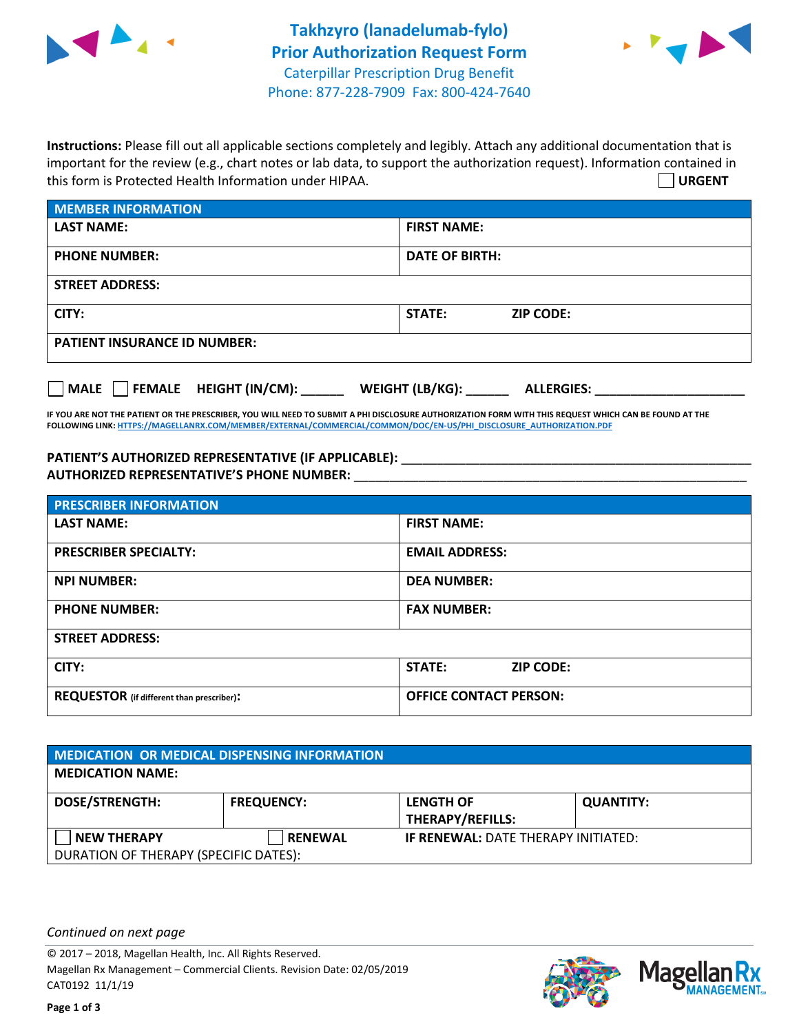



**Instructions:** Please fill out all applicable sections completely and legibly. Attach any additional documentation that is important for the review (e.g., chart notes or lab data, to support the authorization request). Information contained in this form is Protected Health Information under HIPAA. **URGENT**

| <b>MEMBER INFORMATION</b>             |                                      |  |  |  |
|---------------------------------------|--------------------------------------|--|--|--|
| <b>LAST NAME:</b>                     | <b>FIRST NAME:</b>                   |  |  |  |
| <b>PHONE NUMBER:</b>                  | <b>DATE OF BIRTH:</b>                |  |  |  |
| <b>STREET ADDRESS:</b>                |                                      |  |  |  |
| CITY:                                 | STATE:<br><b>ZIP CODE:</b>           |  |  |  |
| <b>PATIENT INSURANCE ID NUMBER:</b>   |                                      |  |  |  |
| FEMALE HEIGHT (IN/CM):<br><b>MALE</b> | WEIGHT (LB/KG):<br><b>ALLERGIES:</b> |  |  |  |

**IF YOU ARE NOT THE PATIENT OR THE PRESCRIBER, YOU WILL NEED TO SUBMIT A PHI DISCLOSURE AUTHORIZATION FORM WITH THIS REQUEST WHICH CAN BE FOUND AT THE FOLLOWING LINK[: HTTPS://MAGELLANRX.COM/MEMBER/EXTERNAL/COMMERCIAL/COMMON/DOC/EN-US/PHI\\_DISCLOSURE\\_AUTHORIZATION.PDF](https://magellanrx.com/member/external/commercial/common/doc/en-us/PHI_Disclosure_Authorization.pdf)**

PATIENT'S AUTHORIZED REPRESENTATIVE (IF APPLICABLE): \_\_\_\_\_\_\_\_\_\_\_\_\_\_\_\_\_\_\_\_\_\_\_\_\_\_\_ **AUTHORIZED REPRESENTATIVE'S PHONE NUMBER:** \_\_\_\_\_\_\_\_\_\_\_\_\_\_\_\_\_\_\_\_\_\_\_\_\_\_\_\_\_\_\_\_\_\_\_\_\_\_\_\_\_\_\_\_\_\_\_\_\_\_\_\_\_\_\_

| <b>PRESCRIBER INFORMATION</b>             |                               |  |  |  |
|-------------------------------------------|-------------------------------|--|--|--|
| <b>LAST NAME:</b>                         | <b>FIRST NAME:</b>            |  |  |  |
| <b>PRESCRIBER SPECIALTY:</b>              | <b>EMAIL ADDRESS:</b>         |  |  |  |
| <b>NPI NUMBER:</b>                        | <b>DEA NUMBER:</b>            |  |  |  |
| <b>PHONE NUMBER:</b>                      | <b>FAX NUMBER:</b>            |  |  |  |
| <b>STREET ADDRESS:</b>                    |                               |  |  |  |
| CITY:                                     | STATE:<br><b>ZIP CODE:</b>    |  |  |  |
| REQUESTOR (if different than prescriber): | <b>OFFICE CONTACT PERSON:</b> |  |  |  |

| <b>MEDICATION OR MEDICAL DISPENSING INFORMATION</b> |                   |                                            |                  |  |  |
|-----------------------------------------------------|-------------------|--------------------------------------------|------------------|--|--|
| <b>MEDICATION NAME:</b>                             |                   |                                            |                  |  |  |
| <b>DOSE/STRENGTH:</b>                               | <b>FREQUENCY:</b> | <b>LENGTH OF</b>                           | <b>QUANTITY:</b> |  |  |
|                                                     |                   | <b>THERAPY/REFILLS:</b>                    |                  |  |  |
| <b>NEW THERAPY</b>                                  | <b>RENEWAL</b>    | <b>IF RENEWAL: DATE THERAPY INITIATED:</b> |                  |  |  |
| DURATION OF THERAPY (SPECIFIC DATES):               |                   |                                            |                  |  |  |

*Continued on next page*

© 2017 – 2018, Magellan Health, Inc. All Rights Reserved. Magellan Rx Management – Commercial Clients. Revision Date: 02/05/2019 CAT0192 11/1/19



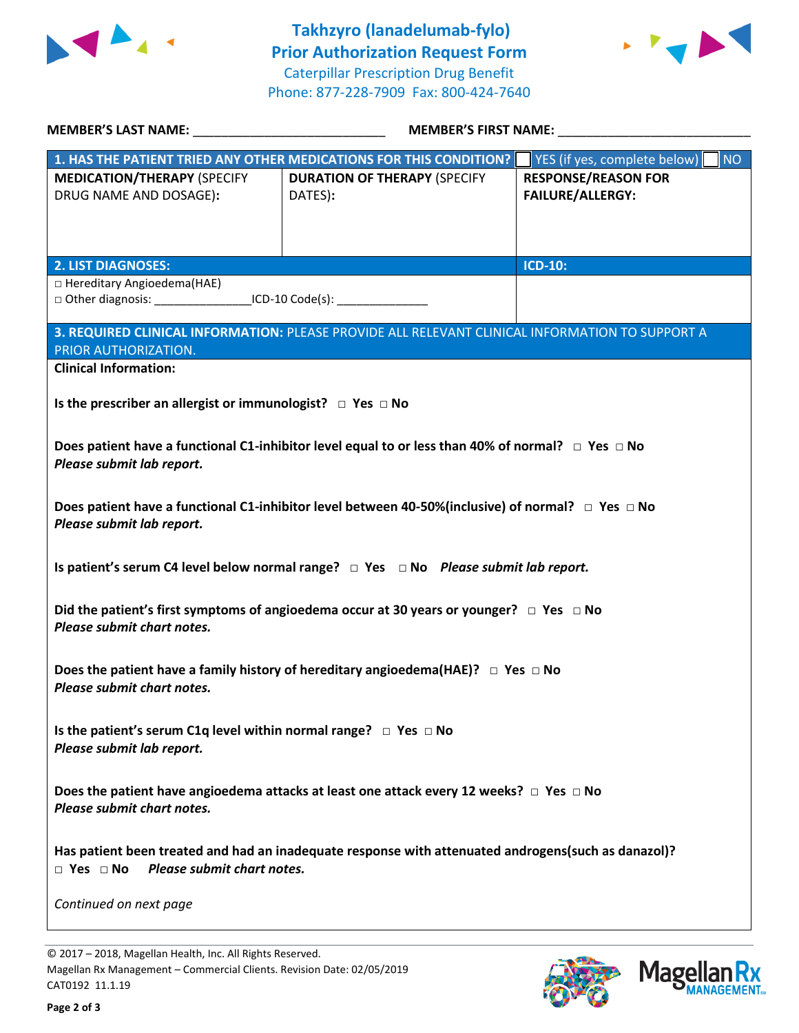



| MEMBER'S LAST NAME: NAME:                                                                                                                                 | <b>MEMBER'S FIRST NAME:</b>                                                                     |                                                       |  |  |
|-----------------------------------------------------------------------------------------------------------------------------------------------------------|-------------------------------------------------------------------------------------------------|-------------------------------------------------------|--|--|
|                                                                                                                                                           | 1. HAS THE PATIENT TRIED ANY OTHER MEDICATIONS FOR THIS CONDITION?                              | NO<br>YES (if yes, complete below)                    |  |  |
| <b>MEDICATION/THERAPY (SPECIFY</b><br>DRUG NAME AND DOSAGE):                                                                                              | <b>DURATION OF THERAPY (SPECIFY</b><br>DATES):                                                  | <b>RESPONSE/REASON FOR</b><br><b>FAILURE/ALLERGY:</b> |  |  |
| <b>2. LIST DIAGNOSES:</b>                                                                                                                                 |                                                                                                 | <b>ICD-10:</b>                                        |  |  |
| □ Hereditary Angioedema(HAE)<br>□ Other diagnosis: ___________________ICD-10 Code(s): _________________________                                           |                                                                                                 |                                                       |  |  |
|                                                                                                                                                           | 3. REQUIRED CLINICAL INFORMATION: PLEASE PROVIDE ALL RELEVANT CLINICAL INFORMATION TO SUPPORT A |                                                       |  |  |
| PRIOR AUTHORIZATION.<br><b>Clinical Information:</b>                                                                                                      |                                                                                                 |                                                       |  |  |
| Is the prescriber an allergist or immunologist? $\Box$ Yes $\Box$ No                                                                                      |                                                                                                 |                                                       |  |  |
| Does patient have a functional C1-inhibitor level equal to or less than 40% of normal? $\Box$ Yes $\Box$ No<br>Please submit lab report.                  |                                                                                                 |                                                       |  |  |
| Does patient have a functional C1-inhibitor level between 40-50%(inclusive) of normal? $\Box$ Yes $\Box$ No<br>Please submit lab report.                  |                                                                                                 |                                                       |  |  |
| Is patient's serum C4 level below normal range? $\Box$ Yes $\Box$ No Please submit lab report.                                                            |                                                                                                 |                                                       |  |  |
| Did the patient's first symptoms of angioedema occur at 30 years or younger? $\Box$ Yes $\Box$ No<br>Please submit chart notes.                           |                                                                                                 |                                                       |  |  |
| Does the patient have a family history of hereditary angioedema(HAE)? $\Box$ Yes $\Box$ No<br>Please submit chart notes.                                  |                                                                                                 |                                                       |  |  |
| Is the patient's serum C1q level within normal range? $\Box$ Yes $\Box$ No<br>Please submit lab report.                                                   |                                                                                                 |                                                       |  |  |
| Does the patient have angioedema attacks at least one attack every 12 weeks? $\Box$ Yes $\Box$ No<br>Please submit chart notes.                           |                                                                                                 |                                                       |  |  |
| Has patient been treated and had an inadequate response with attenuated androgens(such as danazol)?<br>Please submit chart notes.<br>$\Box$ Yes $\Box$ No |                                                                                                 |                                                       |  |  |
| Continued on next page                                                                                                                                    |                                                                                                 |                                                       |  |  |